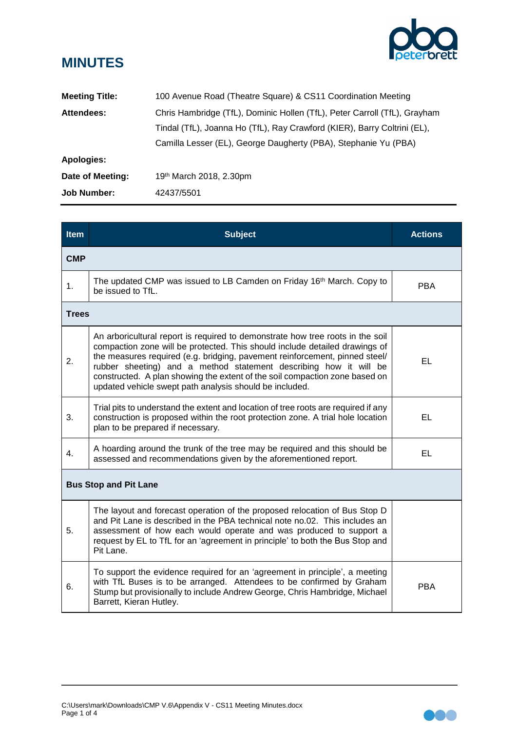

## **MINUTES**

| <b>Meeting Title:</b> | 100 Avenue Road (Theatre Square) & CS11 Coordination Meeting              |
|-----------------------|---------------------------------------------------------------------------|
| Attendees:            | Chris Hambridge (TfL), Dominic Hollen (TfL), Peter Carroll (TfL), Grayham |
|                       | Tindal (TfL), Joanna Ho (TfL), Ray Crawford (KIER), Barry Coltrini (EL),  |
|                       | Camilla Lesser (EL), George Daugherty (PBA), Stephanie Yu (PBA)           |
| Apologies:            |                                                                           |
| Date of Meeting:      | 19 <sup>th</sup> March 2018, 2.30pm                                       |
| <b>Job Number:</b>    | 42437/5501                                                                |

| <b>Item</b>                  | <b>Subject</b>                                                                                                                                                                                                                                                                                                                                                                                                                                              | <b>Actions</b> |  |  |
|------------------------------|-------------------------------------------------------------------------------------------------------------------------------------------------------------------------------------------------------------------------------------------------------------------------------------------------------------------------------------------------------------------------------------------------------------------------------------------------------------|----------------|--|--|
| <b>CMP</b>                   |                                                                                                                                                                                                                                                                                                                                                                                                                                                             |                |  |  |
| 1.                           | The updated CMP was issued to LB Camden on Friday 16 <sup>th</sup> March. Copy to<br>be issued to TfL.                                                                                                                                                                                                                                                                                                                                                      | <b>PBA</b>     |  |  |
| <b>Trees</b>                 |                                                                                                                                                                                                                                                                                                                                                                                                                                                             |                |  |  |
| 2.                           | An arboricultural report is required to demonstrate how tree roots in the soil<br>compaction zone will be protected. This should include detailed drawings of<br>the measures required (e.g. bridging, pavement reinforcement, pinned steel/<br>rubber sheeting) and a method statement describing how it will be<br>constructed. A plan showing the extent of the soil compaction zone based on<br>updated vehicle swept path analysis should be included. | EL             |  |  |
| 3.                           | Trial pits to understand the extent and location of tree roots are required if any<br>construction is proposed within the root protection zone. A trial hole location<br>plan to be prepared if necessary.                                                                                                                                                                                                                                                  | EL.            |  |  |
| 4.                           | A hoarding around the trunk of the tree may be required and this should be<br>assessed and recommendations given by the aforementioned report.                                                                                                                                                                                                                                                                                                              | EL             |  |  |
| <b>Bus Stop and Pit Lane</b> |                                                                                                                                                                                                                                                                                                                                                                                                                                                             |                |  |  |
| 5.                           | The layout and forecast operation of the proposed relocation of Bus Stop D<br>and Pit Lane is described in the PBA technical note no.02. This includes an<br>assessment of how each would operate and was produced to support a<br>request by EL to TfL for an 'agreement in principle' to both the Bus Stop and<br>Pit Lane.                                                                                                                               |                |  |  |
| 6.                           | To support the evidence required for an 'agreement in principle', a meeting<br>with TfL Buses is to be arranged. Attendees to be confirmed by Graham<br>Stump but provisionally to include Andrew George, Chris Hambridge, Michael<br>Barrett, Kieran Hutley.                                                                                                                                                                                               | <b>PBA</b>     |  |  |

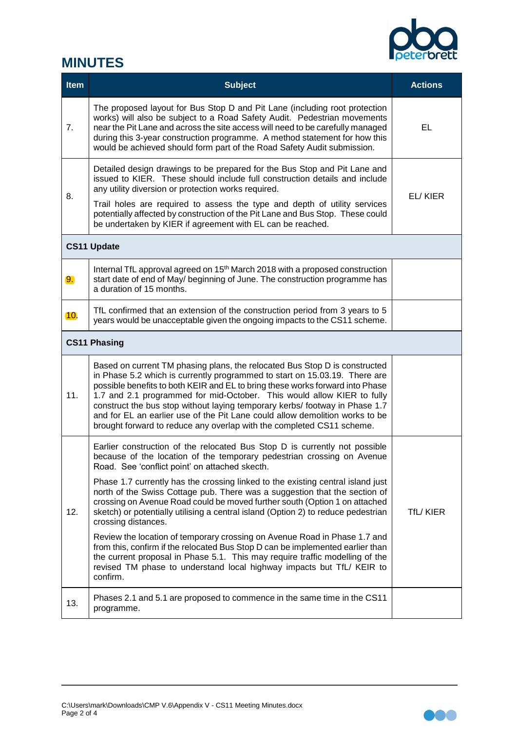

## **MINUTES**

| <b>Item</b>        | <b>Subject</b>                                                                                                                                                                                                                                                                                                                                                                                                                                                                                                                                              | <b>Actions</b> |  |  |
|--------------------|-------------------------------------------------------------------------------------------------------------------------------------------------------------------------------------------------------------------------------------------------------------------------------------------------------------------------------------------------------------------------------------------------------------------------------------------------------------------------------------------------------------------------------------------------------------|----------------|--|--|
| 7.                 | The proposed layout for Bus Stop D and Pit Lane (including root protection<br>works) will also be subject to a Road Safety Audit. Pedestrian movements<br>near the Pit Lane and across the site access will need to be carefully managed<br>during this 3-year construction programme. A method statement for how this<br>would be achieved should form part of the Road Safety Audit submission.                                                                                                                                                           | EL             |  |  |
| 8.                 | Detailed design drawings to be prepared for the Bus Stop and Pit Lane and<br>issued to KIER. These should include full construction details and include<br>any utility diversion or protection works required.<br>Trail holes are required to assess the type and depth of utility services<br>potentially affected by construction of the Pit Lane and Bus Stop. These could<br>be undertaken by KIER if agreement with EL can be reached.                                                                                                                 | EL/KIER        |  |  |
| <b>CS11 Update</b> |                                                                                                                                                                                                                                                                                                                                                                                                                                                                                                                                                             |                |  |  |
| 9.                 | Internal TfL approval agreed on 15 <sup>th</sup> March 2018 with a proposed construction<br>start date of end of May/ beginning of June. The construction programme has<br>a duration of 15 months.                                                                                                                                                                                                                                                                                                                                                         |                |  |  |
| 10 <sub>1</sub>    | TfL confirmed that an extension of the construction period from 3 years to 5<br>years would be unacceptable given the ongoing impacts to the CS11 scheme.                                                                                                                                                                                                                                                                                                                                                                                                   |                |  |  |
|                    | <b>CS11 Phasing</b>                                                                                                                                                                                                                                                                                                                                                                                                                                                                                                                                         |                |  |  |
| 11.                | Based on current TM phasing plans, the relocated Bus Stop D is constructed<br>in Phase 5.2 which is currently programmed to start on 15.03.19. There are<br>possible benefits to both KEIR and EL to bring these works forward into Phase<br>1.7 and 2.1 programmed for mid-October. This would allow KIER to fully<br>construct the bus stop without laying temporary kerbs/ footway in Phase 1.7<br>and for EL an earlier use of the Pit Lane could allow demolition works to be<br>brought forward to reduce any overlap with the completed CS11 scheme. |                |  |  |
| 12.                | Earlier construction of the relocated Bus Stop D is currently not possible<br>because of the location of the temporary pedestrian crossing on Avenue<br>Road. See 'conflict point' on attached skecth.                                                                                                                                                                                                                                                                                                                                                      |                |  |  |
|                    | Phase 1.7 currently has the crossing linked to the existing central island just<br>north of the Swiss Cottage pub. There was a suggestion that the section of<br>crossing on Avenue Road could be moved further south (Option 1 on attached<br>sketch) or potentially utilising a central island (Option 2) to reduce pedestrian<br>crossing distances.                                                                                                                                                                                                     | TfL/KIER       |  |  |
|                    | Review the location of temporary crossing on Avenue Road in Phase 1.7 and<br>from this, confirm if the relocated Bus Stop D can be implemented earlier than<br>the current proposal in Phase 5.1. This may require traffic modelling of the<br>revised TM phase to understand local highway impacts but TfL/ KEIR to<br>confirm.                                                                                                                                                                                                                            |                |  |  |
| 13.                | Phases 2.1 and 5.1 are proposed to commence in the same time in the CS11<br>programme.                                                                                                                                                                                                                                                                                                                                                                                                                                                                      |                |  |  |

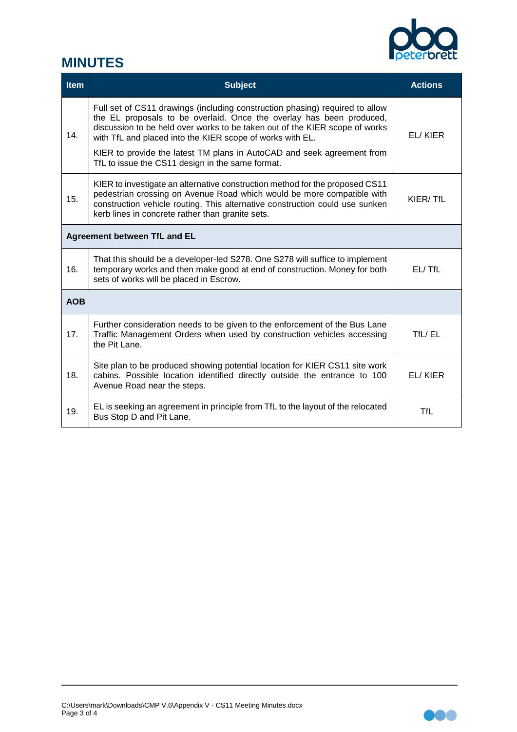

## **MINUTES**

| Item                         | <b>Subject</b>                                                                                                                                                                                                                                                                                                                                                                                                                 | <b>Actions</b> |  |
|------------------------------|--------------------------------------------------------------------------------------------------------------------------------------------------------------------------------------------------------------------------------------------------------------------------------------------------------------------------------------------------------------------------------------------------------------------------------|----------------|--|
| 14.                          | Full set of CS11 drawings (including construction phasing) required to allow<br>the EL proposals to be overlaid. Once the overlay has been produced,<br>discussion to be held over works to be taken out of the KIER scope of works<br>with TfL and placed into the KIER scope of works with EL.<br>KIER to provide the latest TM plans in AutoCAD and seek agreement from<br>TfL to issue the CS11 design in the same format. | EL/KIER        |  |
| 15.                          | KIER to investigate an alternative construction method for the proposed CS11<br>pedestrian crossing on Avenue Road which would be more compatible with<br>construction vehicle routing. This alternative construction could use sunken<br>kerb lines in concrete rather than granite sets.                                                                                                                                     | KIER/TfL       |  |
| Agreement between TfL and EL |                                                                                                                                                                                                                                                                                                                                                                                                                                |                |  |
| 16.                          | That this should be a developer-led S278. One S278 will suffice to implement<br>temporary works and then make good at end of construction. Money for both<br>sets of works will be placed in Escrow.                                                                                                                                                                                                                           | EL/TfL         |  |
| <b>AOB</b>                   |                                                                                                                                                                                                                                                                                                                                                                                                                                |                |  |
| 17.                          | Further consideration needs to be given to the enforcement of the Bus Lane<br>Traffic Management Orders when used by construction vehicles accessing<br>the Pit Lane.                                                                                                                                                                                                                                                          | TfL/EL         |  |
| 18.                          | Site plan to be produced showing potential location for KIER CS11 site work<br>cabins. Possible location identified directly outside the entrance to 100<br>Avenue Road near the steps.                                                                                                                                                                                                                                        | EL/KIER        |  |
| 19.                          | EL is seeking an agreement in principle from TfL to the layout of the relocated<br>Bus Stop D and Pit Lane.                                                                                                                                                                                                                                                                                                                    | <b>TfL</b>     |  |